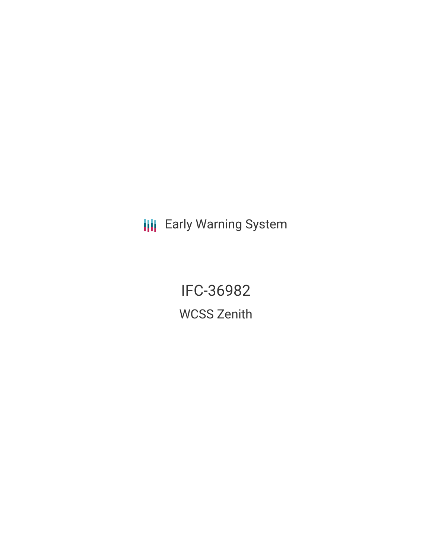**III** Early Warning System

IFC-36982 WCSS Zenith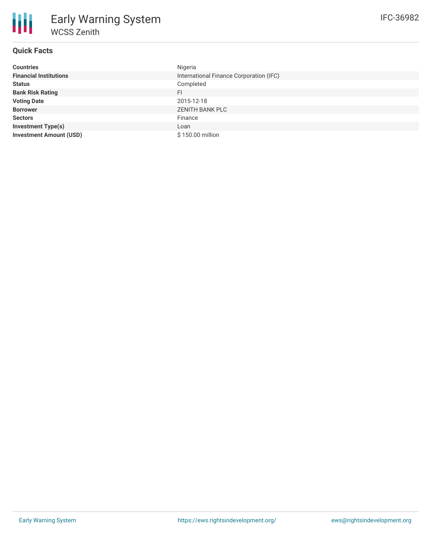# **Quick Facts**

| <b>Countries</b>               | Nigeria                                 |
|--------------------------------|-----------------------------------------|
| <b>Financial Institutions</b>  | International Finance Corporation (IFC) |
| <b>Status</b>                  | Completed                               |
| <b>Bank Risk Rating</b>        | FI                                      |
| <b>Voting Date</b>             | 2015-12-18                              |
| <b>Borrower</b>                | <b>ZENITH BANK PLC</b>                  |
| <b>Sectors</b>                 | Finance                                 |
| <b>Investment Type(s)</b>      | Loan                                    |
| <b>Investment Amount (USD)</b> | \$150.00 million                        |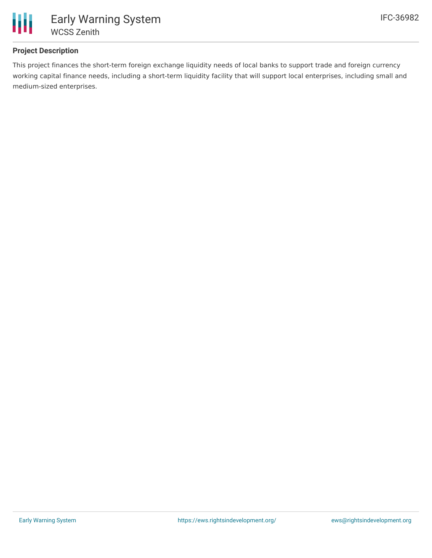

## **Project Description**

This project finances the short-term foreign exchange liquidity needs of local banks to support trade and foreign currency working capital finance needs, including a short-term liquidity facility that will support local enterprises, including small and medium-sized enterprises.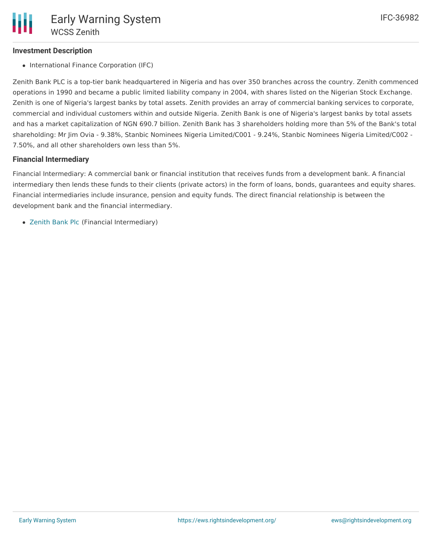#### **Investment Description**

• International Finance Corporation (IFC)

Zenith Bank PLC is a top-tier bank headquartered in Nigeria and has over 350 branches across the country. Zenith commenced operations in 1990 and became a public limited liability company in 2004, with shares listed on the Nigerian Stock Exchange. Zenith is one of Nigeria's largest banks by total assets. Zenith provides an array of commercial banking services to corporate, commercial and individual customers within and outside Nigeria. Zenith Bank is one of Nigeria's largest banks by total assets and has a market capitalization of NGN 690.7 billion. Zenith Bank has 3 shareholders holding more than 5% of the Bank's total shareholding: Mr Jim Ovia - 9.38%, Stanbic Nominees Nigeria Limited/C001 - 9.24%, Stanbic Nominees Nigeria Limited/C002 - 7.50%, and all other shareholders own less than 5%.

#### **Financial Intermediary**

Financial Intermediary: A commercial bank or financial institution that receives funds from a development bank. A financial intermediary then lends these funds to their clients (private actors) in the form of loans, bonds, guarantees and equity shares. Financial intermediaries include insurance, pension and equity funds. The direct financial relationship is between the development bank and the financial intermediary.

[Zenith](file:///actor/1000/) Bank Plc (Financial Intermediary)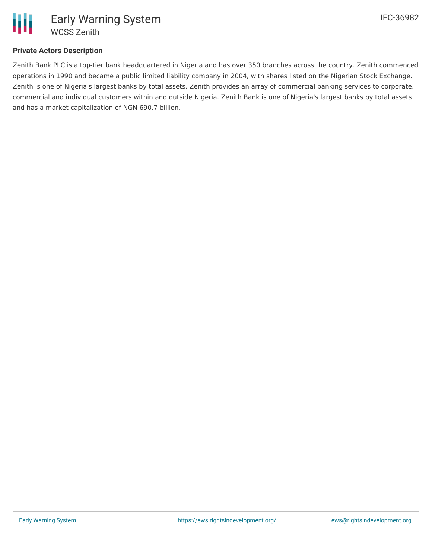

### **Private Actors Description**

Zenith Bank PLC is a top-tier bank headquartered in Nigeria and has over 350 branches across the country. Zenith commenced operations in 1990 and became a public limited liability company in 2004, with shares listed on the Nigerian Stock Exchange. Zenith is one of Nigeria's largest banks by total assets. Zenith provides an array of commercial banking services to corporate, commercial and individual customers within and outside Nigeria. Zenith Bank is one of Nigeria's largest banks by total assets and has a market capitalization of NGN 690.7 billion.